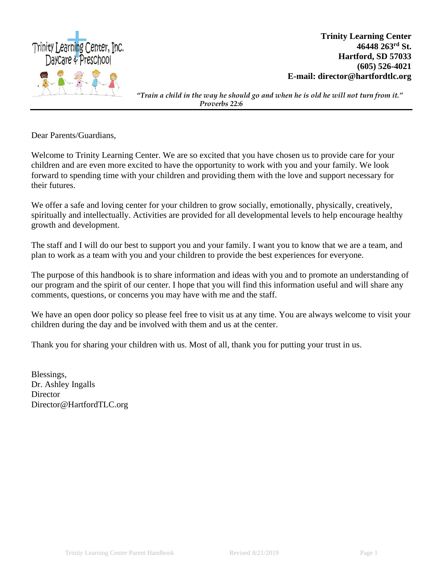

**Trinity Learning Center 46448 263rd St. Hartford, SD 57033 (605) 526-4021 E-mail: director@hartfordtlc.org**

*"Train a child in the way he should go and when he is old he will not turn from it." Proverbs 22:6*

Dear Parents/Guardians,

Welcome to Trinity Learning Center. We are so excited that you have chosen us to provide care for your children and are even more excited to have the opportunity to work with you and your family. We look forward to spending time with your children and providing them with the love and support necessary for their futures.

We offer a safe and loving center for your children to grow socially, emotionally, physically, creatively, spiritually and intellectually. Activities are provided for all developmental levels to help encourage healthy growth and development.

The staff and I will do our best to support you and your family. I want you to know that we are a team, and plan to work as a team with you and your children to provide the best experiences for everyone.

The purpose of this handbook is to share information and ideas with you and to promote an understanding of our program and the spirit of our center. I hope that you will find this information useful and will share any comments, questions, or concerns you may have with me and the staff.

We have an open door policy so please feel free to visit us at any time. You are always welcome to visit your children during the day and be involved with them and us at the center.

Thank you for sharing your children with us. Most of all, thank you for putting your trust in us.

Blessings, Dr. Ashley Ingalls **Director** Director@HartfordTLC.org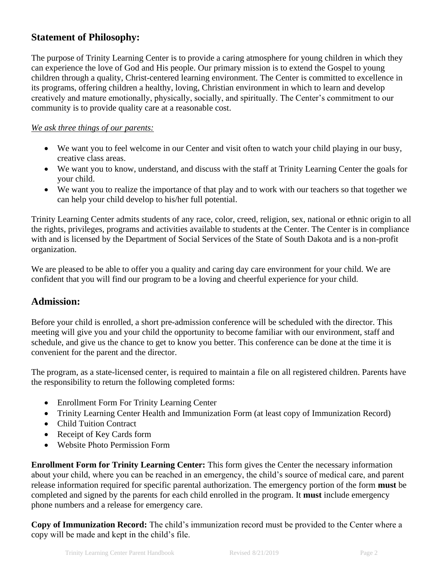# **Statement of Philosophy:**

The purpose of Trinity Learning Center is to provide a caring atmosphere for young children in which they can experience the love of God and His people. Our primary mission is to extend the Gospel to young children through a quality, Christ-centered learning environment. The Center is committed to excellence in its programs, offering children a healthy, loving, Christian environment in which to learn and develop creatively and mature emotionally, physically, socially, and spiritually. The Center's commitment to our community is to provide quality care at a reasonable cost.

#### *We ask three things of our parents:*

- We want you to feel welcome in our Center and visit often to watch your child playing in our busy, creative class areas.
- We want you to know, understand, and discuss with the staff at Trinity Learning Center the goals for your child.
- We want you to realize the importance of that play and to work with our teachers so that together we can help your child develop to his/her full potential.

Trinity Learning Center admits students of any race, color, creed, religion, sex, national or ethnic origin to all the rights, privileges, programs and activities available to students at the Center. The Center is in compliance with and is licensed by the Department of Social Services of the State of South Dakota and is a non-profit organization.

We are pleased to be able to offer you a quality and caring day care environment for your child. We are confident that you will find our program to be a loving and cheerful experience for your child.

## **Admission:**

Before your child is enrolled, a short pre-admission conference will be scheduled with the director. This meeting will give you and your child the opportunity to become familiar with our environment, staff and schedule, and give us the chance to get to know you better. This conference can be done at the time it is convenient for the parent and the director.

The program, as a state-licensed center, is required to maintain a file on all registered children. Parents have the responsibility to return the following completed forms:

- Enrollment Form For Trinity Learning Center
- Trinity Learning Center Health and Immunization Form (at least copy of Immunization Record)
- Child Tuition Contract
- Receipt of Key Cards form
- Website Photo Permission Form

**Enrollment Form for Trinity Learning Center:** This form gives the Center the necessary information about your child, where you can be reached in an emergency, the child's source of medical care, and parent release information required for specific parental authorization. The emergency portion of the form **must** be completed and signed by the parents for each child enrolled in the program. It **must** include emergency phone numbers and a release for emergency care.

**Copy of Immunization Record:** The child's immunization record must be provided to the Center where a copy will be made and kept in the child's file.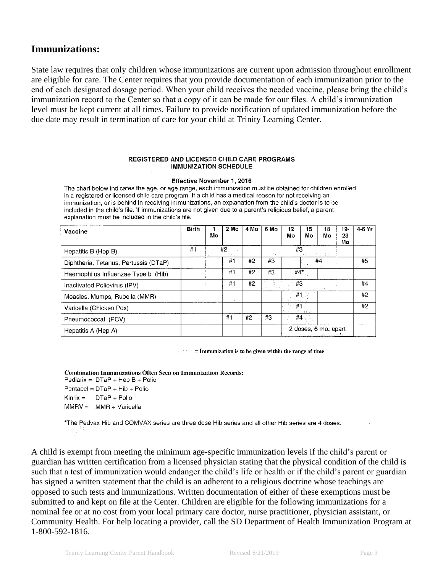## **Immunizations:**

State law requires that only children whose immunizations are current upon admission throughout enrollment are eligible for care. The Center requires that you provide documentation of each immunization prior to the end of each designated dosage period. When your child receives the needed vaccine, please bring the child's immunization record to the Center so that a copy of it can be made for our files. A child's immunization level must be kept current at all times. Failure to provide notification of updated immunization before the due date may result in termination of care for your child at Trinity Learning Center.

#### **REGISTERED AND LICENSED CHILD CARE PROGRAMS IMMUNIZATION SCHEDULE**

Effective November 1, 2016

The chart below indicates the age, or age range, each immunization must be obtained for children enrolled in a registered or licensed child care program. If a child has a medical reason for not receiving an immunization, or is behind in receiving immunizations, an explanation from the child's doctor is to be included in the child's file. If immunizations are not given due to a parent's religious belief, a parent explanation must be included in the child's file.

| Vaccine                               | <b>Birth</b> | Mo | 2 Mo | 4 Mo | 6 Mo | 12<br>Mo | 15<br>Mo          | 18<br>Mo                                                  | 19-<br>23<br>Mo | 4-6 Yr |
|---------------------------------------|--------------|----|------|------|------|----------|-------------------|-----------------------------------------------------------|-----------------|--------|
| Hepatitis B (Hep B)                   | #1           |    | #2   |      |      | #3       |                   |                                                           |                 |        |
| Diphtheria, Tetanus, Pertussis (DTaP) |              |    | #1   | #2   | #3   |          |                   | #4                                                        |                 | #5     |
| Haemophilus Influenzae Type b (Hib)   |              |    | #1   | #2   | #3   | #4*      |                   |                                                           |                 |        |
| Inactivated Poliovirus (IPV)          |              |    | #1   | #2   |      | #3       |                   |                                                           |                 | #4     |
| Measles, Mumps, Rubella (MMR)         |              |    |      |      |      | #1       |                   |                                                           |                 | #2     |
| Varicella (Chicken Pox)               |              |    |      |      |      | #1       |                   |                                                           |                 | #2     |
| Pneumococcal (PCV)                    |              |    | #1   | #2   | #3   |          | #4 $\blacksquare$ |                                                           |                 |        |
| Hepatitis A (Hep A)                   |              |    |      |      |      |          |                   | 2 doses, 6 mo. apart<br><u>evidence in the controller</u> |                 |        |

 $\therefore$  = Immunization is to be given within the range of time

**Combination Immunizations Often Seen on Immunization Records:** Pediarix =  $DTaP + HepB + Polio$ Pentacel =  $DTaP + Hib + Polio$  $Kinrix =$   $DTaP + Polio$  $MMRV = MMR + Varicella$ 

\*The Pedvax Hib and COMVAX series are three dose Hib series and all other Hib series are 4 doses.

A child is exempt from meeting the minimum age-specific immunization levels if the child's parent or guardian has written certification from a licensed physician stating that the physical condition of the child is such that a test of immunization would endanger the child's life or health or if the child's parent or guardian has signed a written statement that the child is an adherent to a religious doctrine whose teachings are opposed to such tests and immunizations. Written documentation of either of these exemptions must be submitted to and kept on file at the Center. Children are eligible for the following immunizations for a nominal fee or at no cost from your local primary care doctor, nurse practitioner, physician assistant, or Community Health. For help locating a provider, call the SD Department of Health Immunization Program at 1-800-592-1816.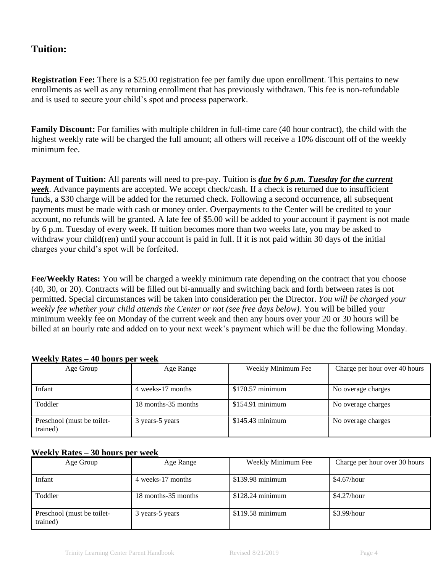# **Tuition:**

**Registration Fee:** There is a \$25.00 registration fee per family due upon enrollment. This pertains to new enrollments as well as any returning enrollment that has previously withdrawn. This fee is non-refundable and is used to secure your child's spot and process paperwork.

**Family Discount:** For families with multiple children in full-time care (40 hour contract), the child with the highest weekly rate will be charged the full amount; all others will receive a 10% discount off of the weekly minimum fee.

**Payment of Tuition:** All parents will need to pre-pay. Tuition is *due by 6 p.m. Tuesday for the current week*. Advance payments are accepted. We accept check/cash. If a check is returned due to insufficient funds, a \$30 charge will be added for the returned check. Following a second occurrence, all subsequent payments must be made with cash or money order. Overpayments to the Center will be credited to your account, no refunds will be granted. A late fee of \$5.00 will be added to your account if payment is not made by 6 p.m. Tuesday of every week. If tuition becomes more than two weeks late, you may be asked to withdraw your child(ren) until your account is paid in full. If it is not paid within 30 days of the initial charges your child's spot will be forfeited.

**Fee/Weekly Rates:** You will be charged a weekly minimum rate depending on the contract that you choose (40, 30, or 20). Contracts will be filled out bi-annually and switching back and forth between rates is not permitted. Special circumstances will be taken into consideration per the Director. *You will be charged your weekly fee whether your child attends the Center or not (see free days below).* You will be billed your minimum weekly fee on Monday of the current week and then any hours over your 20 or 30 hours will be billed at an hourly rate and added on to your next week's payment which will be due the following Monday.

| Age Group                              | Age Range           | Weekly Minimum Fee | Charge per hour over 40 hours |
|----------------------------------------|---------------------|--------------------|-------------------------------|
| Infant                                 | 4 weeks-17 months   | $$170.57$ minimum  | No overage charges            |
| Toddler                                | 18 months-35 months | $$154.91$ minimum  | No overage charges            |
| Preschool (must be toilet-<br>trained) | 3 years-5 years     | $$145.43$ minimum  | No overage charges            |

#### **Weekly Rates – 40 hours per week**

#### **Weekly Rates – 30 hours per week**

| Age Group                              | Age Range           | Weekly Minimum Fee | Charge per hour over 30 hours |
|----------------------------------------|---------------------|--------------------|-------------------------------|
| Infant                                 | 4 weeks-17 months   | $$139.98$ minimum  | \$4.67/hour                   |
| Toddler                                | 18 months-35 months | $$128.24$ minimum  | \$4.27/hour                   |
| Preschool (must be toilet-<br>trained) | 3 years-5 years     | $$119.58$ minimum  | \$3.99/hour                   |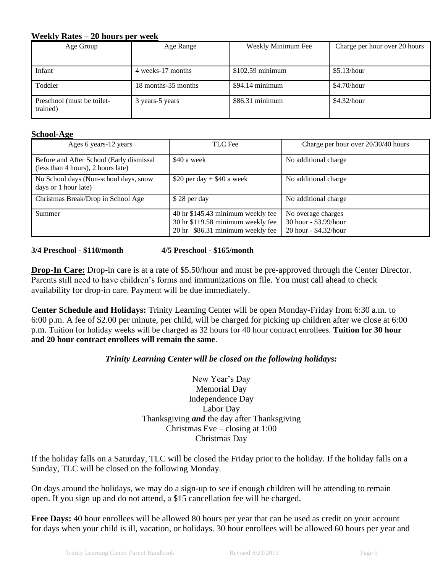#### **Weekly Rates – 20 hours per week**

| Age Group                              | Age Range           | Weekly Minimum Fee | Charge per hour over 20 hours |
|----------------------------------------|---------------------|--------------------|-------------------------------|
|                                        |                     |                    |                               |
| Infant                                 | 4 weeks-17 months   | $$102.59$ minimum  | \$5.13/hour                   |
| Toddler                                | 18 months-35 months | \$94.14 minimum    | \$4.70/hour                   |
| Preschool (must be toilet-<br>trained) | 3 years-5 years     | $$86.31$ minimum   | \$4.32/hour                   |

#### **School-Age**

| Ages 6 years-12 years                                                          | TLC Fee                                                                                                    | Charge per hour over 20/30/40 hours                                  |
|--------------------------------------------------------------------------------|------------------------------------------------------------------------------------------------------------|----------------------------------------------------------------------|
| Before and After School (Early dismissal<br>(less than 4 hours), 2 hours late) | \$40 a week                                                                                                | No additional charge                                                 |
| No School days (Non-school days, snow<br>days or 1 hour late)                  | \$20 per day $+$ \$40 a week                                                                               | No additional charge                                                 |
| Christmas Break/Drop in School Age                                             | \$28 per day                                                                                               | No additional charge                                                 |
| Summer                                                                         | 40 hr \$145.43 minimum weekly fee<br>30 hr \$119.58 minimum weekly fee<br>20 hr \$86.31 minimum weekly fee | No overage charges<br>30 hour - \$3.99/hour<br>20 hour - \$4.32/hour |

**3/4 Preschool - \$110/month 4/5 Preschool - \$165/month**

**Drop-In Care:** Drop-in care is at a rate of \$5.50/hour and must be pre-approved through the Center Director. Parents still need to have children's forms and immunizations on file. You must call ahead to check availability for drop-in care. Payment will be due immediately.

**Center Schedule and Holidays:** Trinity Learning Center will be open Monday-Friday from 6:30 a.m. to 6:00 p.m. A fee of \$2.00 per minute, per child, will be charged for picking up children after we close at 6:00 p.m. Tuition for holiday weeks will be charged as 32 hours for 40 hour contract enrollees. **Tuition for 30 hour and 20 hour contract enrollees will remain the same**.

#### *Trinity Learning Center will be closed on the following holidays:*

New Year's Day Memorial Day Independence Day Labor Day Thanksgiving *and* the day after Thanksgiving Christmas Eve – closing at 1:00 Christmas Day

If the holiday falls on a Saturday, TLC will be closed the Friday prior to the holiday. If the holiday falls on a Sunday, TLC will be closed on the following Monday.

On days around the holidays, we may do a sign-up to see if enough children will be attending to remain open. If you sign up and do not attend, a \$15 cancellation fee will be charged.

**Free Days:** 40 hour enrollees will be allowed 80 hours per year that can be used as credit on your account for days when your child is ill, vacation, or holidays. 30 hour enrollees will be allowed 60 hours per year and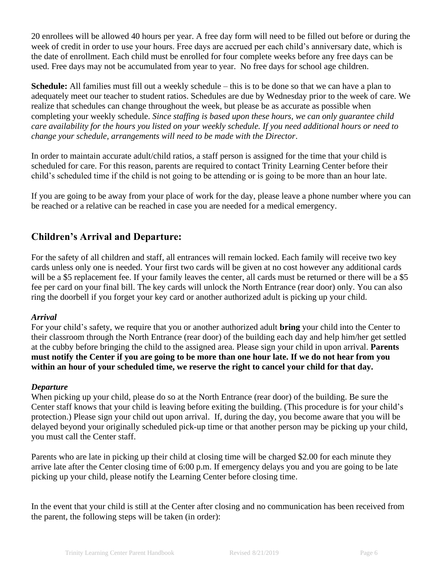20 enrollees will be allowed 40 hours per year. A free day form will need to be filled out before or during the week of credit in order to use your hours. Free days are accrued per each child's anniversary date, which is the date of enrollment. Each child must be enrolled for four complete weeks before any free days can be used. Free days may not be accumulated from year to year. No free days for school age children.

**Schedule:** All families must fill out a weekly schedule – this is to be done so that we can have a plan to adequately meet our teacher to student ratios. Schedules are due by Wednesday prior to the week of care. We realize that schedules can change throughout the week, but please be as accurate as possible when completing your weekly schedule. *Since staffing is based upon these hours, we can only guarantee child care availability for the hours you listed on your weekly schedule. If you need additional hours or need to change your schedule, arrangements will need to be made with the Director*.

In order to maintain accurate adult/child ratios, a staff person is assigned for the time that your child is scheduled for care. For this reason, parents are required to contact Trinity Learning Center before their child's scheduled time if the child is not going to be attending or is going to be more than an hour late.

If you are going to be away from your place of work for the day, please leave a phone number where you can be reached or a relative can be reached in case you are needed for a medical emergency.

# **Children's Arrival and Departure:**

For the safety of all children and staff, all entrances will remain locked. Each family will receive two key cards unless only one is needed. Your first two cards will be given at no cost however any additional cards will be a \$5 replacement fee. If your family leaves the center, all cards must be returned or there will be a \$5 fee per card on your final bill. The key cards will unlock the North Entrance (rear door) only. You can also ring the doorbell if you forget your key card or another authorized adult is picking up your child.

#### *Arrival*

For your child's safety, we require that you or another authorized adult **bring** your child into the Center to their classroom through the North Entrance (rear door) of the building each day and help him/her get settled at the cubby before bringing the child to the assigned area. Please sign your child in upon arrival. **Parents must notify the Center if you are going to be more than one hour late. If we do not hear from you within an hour of your scheduled time, we reserve the right to cancel your child for that day.** 

#### *Departure*

When picking up your child, please do so at the North Entrance (rear door) of the building. Be sure the Center staff knows that your child is leaving before exiting the building. (This procedure is for your child's protection.) Please sign your child out upon arrival. If, during the day, you become aware that you will be delayed beyond your originally scheduled pick-up time or that another person may be picking up your child, you must call the Center staff.

Parents who are late in picking up their child at closing time will be charged \$2.00 for each minute they arrive late after the Center closing time of 6:00 p.m. If emergency delays you and you are going to be late picking up your child, please notify the Learning Center before closing time.

In the event that your child is still at the Center after closing and no communication has been received from the parent, the following steps will be taken (in order):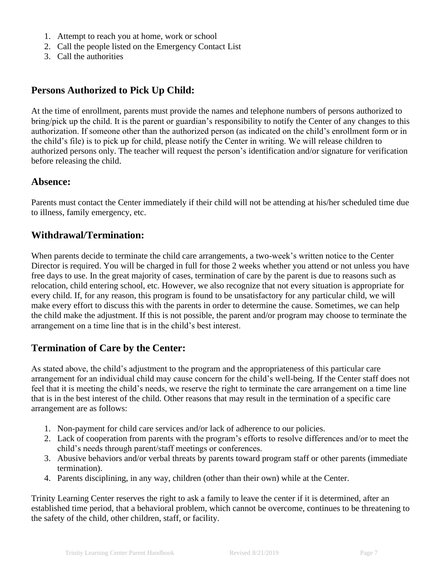- 1. Attempt to reach you at home, work or school
- 2. Call the people listed on the Emergency Contact List
- 3. Call the authorities

# **Persons Authorized to Pick Up Child:**

At the time of enrollment, parents must provide the names and telephone numbers of persons authorized to bring/pick up the child. It is the parent or guardian's responsibility to notify the Center of any changes to this authorization. If someone other than the authorized person (as indicated on the child's enrollment form or in the child's file) is to pick up for child, please notify the Center in writing. We will release children to authorized persons only. The teacher will request the person's identification and/or signature for verification before releasing the child.

## **Absence:**

Parents must contact the Center immediately if their child will not be attending at his/her scheduled time due to illness, family emergency, etc.

## **Withdrawal/Termination:**

When parents decide to terminate the child care arrangements, a two-week's written notice to the Center Director is required. You will be charged in full for those 2 weeks whether you attend or not unless you have free days to use. In the great majority of cases, termination of care by the parent is due to reasons such as relocation, child entering school, etc. However, we also recognize that not every situation is appropriate for every child. If, for any reason, this program is found to be unsatisfactory for any particular child, we will make every effort to discuss this with the parents in order to determine the cause. Sometimes, we can help the child make the adjustment. If this is not possible, the parent and/or program may choose to terminate the arrangement on a time line that is in the child's best interest.

# **Termination of Care by the Center:**

As stated above, the child's adjustment to the program and the appropriateness of this particular care arrangement for an individual child may cause concern for the child's well-being. If the Center staff does not feel that it is meeting the child's needs, we reserve the right to terminate the care arrangement on a time line that is in the best interest of the child. Other reasons that may result in the termination of a specific care arrangement are as follows:

- 1. Non-payment for child care services and/or lack of adherence to our policies.
- 2. Lack of cooperation from parents with the program's efforts to resolve differences and/or to meet the child's needs through parent/staff meetings or conferences.
- 3. Abusive behaviors and/or verbal threats by parents toward program staff or other parents (immediate termination).
- 4. Parents disciplining, in any way, children (other than their own) while at the Center.

Trinity Learning Center reserves the right to ask a family to leave the center if it is determined, after an established time period, that a behavioral problem, which cannot be overcome, continues to be threatening to the safety of the child, other children, staff, or facility.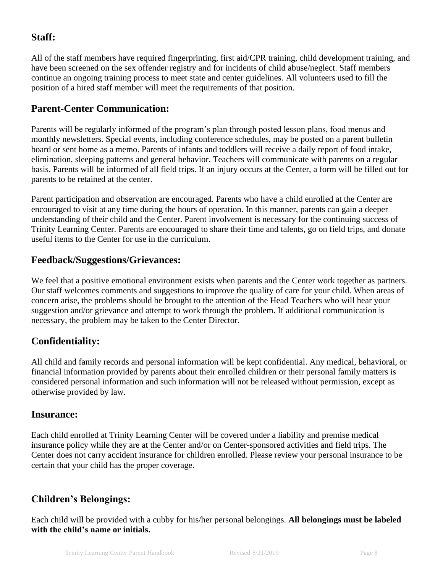# **Staff:**

All of the staff members have required fingerprinting, first aid/CPR training, child development training, and have been screened on the sex offender registry and for incidents of child abuse/neglect. Staff members continue an ongoing training process to meet state and center guidelines. All volunteers used to fill the position of a hired staff member will meet the requirements of that position.

# **Parent-Center Communication:**

Parents will be regularly informed of the program's plan through posted lesson plans, food menus and monthly newsletters. Special events, including conference schedules, may be posted on a parent bulletin board or sent home as a memo. Parents of infants and toddlers will receive a daily report of food intake, elimination, sleeping patterns and general behavior. Teachers will communicate with parents on a regular basis. Parents will be informed of all field trips. If an injury occurs at the Center, a form will be filled out for parents to be retained at the center.

Parent participation and observation are encouraged. Parents who have a child enrolled at the Center are encouraged to visit at any time during the hours of operation. In this manner, parents can gain a deeper understanding of their child and the Center. Parent involvement is necessary for the continuing success of Trinity Learning Center. Parents are encouraged to share their time and talents, go on field trips, and donate useful items to the Center for use in the curriculum.

# **Feedback/Suggestions/Grievances:**

We feel that a positive emotional environment exists when parents and the Center work together as partners. Our staff welcomes comments and suggestions to improve the quality of care for your child. When areas of concern arise, the problems should be brought to the attention of the Head Teachers who will hear your suggestion and/or grievance and attempt to work through the problem. If additional communication is necessary, the problem may be taken to the Center Director.

# **Confidentiality:**

All child and family records and personal information will be kept confidential. Any medical, behavioral, or financial information provided by parents about their enrolled children or their personal family matters is considered personal information and such information will not be released without permission, except as otherwise provided by law.

## **Insurance:**

Each child enrolled at Trinity Learning Center will be covered under a liability and premise medical insurance policy while they are at the Center and/or on Center-sponsored activities and field trips. The Center does not carry accident insurance for children enrolled. Please review your personal insurance to be certain that your child has the proper coverage.

# **Children's Belongings:**

Each child will be provided with a cubby for his/her personal belongings. **All belongings must be labeled with the child's name or initials.**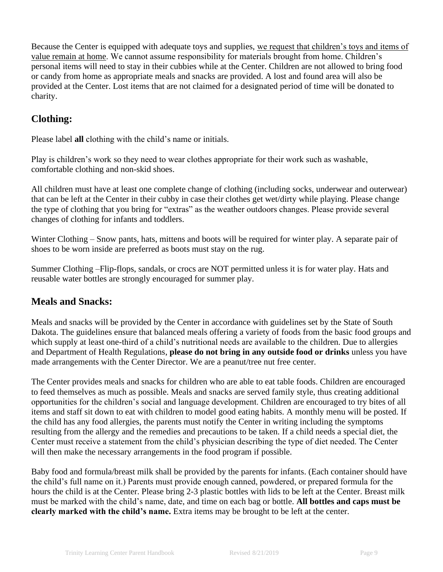Because the Center is equipped with adequate toys and supplies, we request that children's toys and items of value remain at home. We cannot assume responsibility for materials brought from home. Children's personal items will need to stay in their cubbies while at the Center. Children are not allowed to bring food or candy from home as appropriate meals and snacks are provided. A lost and found area will also be provided at the Center. Lost items that are not claimed for a designated period of time will be donated to charity.

# **Clothing:**

Please label **all** clothing with the child's name or initials.

Play is children's work so they need to wear clothes appropriate for their work such as washable, comfortable clothing and non-skid shoes.

All children must have at least one complete change of clothing (including socks, underwear and outerwear) that can be left at the Center in their cubby in case their clothes get wet/dirty while playing. Please change the type of clothing that you bring for "extras" as the weather outdoors changes. Please provide several changes of clothing for infants and toddlers.

Winter Clothing – Snow pants, hats, mittens and boots will be required for winter play. A separate pair of shoes to be worn inside are preferred as boots must stay on the rug.

Summer Clothing –Flip-flops, sandals, or crocs are NOT permitted unless it is for water play. Hats and reusable water bottles are strongly encouraged for summer play.

# **Meals and Snacks:**

Meals and snacks will be provided by the Center in accordance with guidelines set by the State of South Dakota. The guidelines ensure that balanced meals offering a variety of foods from the basic food groups and which supply at least one-third of a child's nutritional needs are available to the children. Due to allergies and Department of Health Regulations, **please do not bring in any outside food or drinks** unless you have made arrangements with the Center Director. We are a peanut/tree nut free center.

The Center provides meals and snacks for children who are able to eat table foods. Children are encouraged to feed themselves as much as possible. Meals and snacks are served family style, thus creating additional opportunities for the children's social and language development. Children are encouraged to try bites of all items and staff sit down to eat with children to model good eating habits. A monthly menu will be posted. If the child has any food allergies, the parents must notify the Center in writing including the symptoms resulting from the allergy and the remedies and precautions to be taken. If a child needs a special diet, the Center must receive a statement from the child's physician describing the type of diet needed. The Center will then make the necessary arrangements in the food program if possible.

Baby food and formula/breast milk shall be provided by the parents for infants. (Each container should have the child's full name on it.) Parents must provide enough canned, powdered, or prepared formula for the hours the child is at the Center. Please bring 2-3 plastic bottles with lids to be left at the Center. Breast milk must be marked with the child's name, date, and time on each bag or bottle. **All bottles and caps must be clearly marked with the child's name.** Extra items may be brought to be left at the center.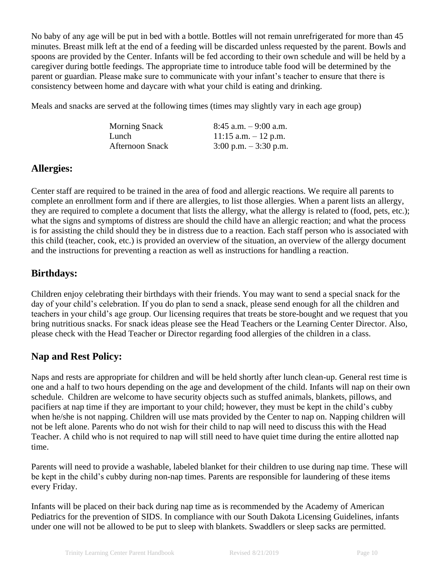No baby of any age will be put in bed with a bottle. Bottles will not remain unrefrigerated for more than 45 minutes. Breast milk left at the end of a feeding will be discarded unless requested by the parent. Bowls and spoons are provided by the Center. Infants will be fed according to their own schedule and will be held by a caregiver during bottle feedings. The appropriate time to introduce table food will be determined by the parent or guardian. Please make sure to communicate with your infant's teacher to ensure that there is consistency between home and daycare with what your child is eating and drinking.

Meals and snacks are served at the following times (times may slightly vary in each age group)

| <b>Morning Snack</b>   | $8:45$ a.m. $-9:00$ a.m. |
|------------------------|--------------------------|
| Lunch                  | $11:15$ a.m. $-12$ p.m.  |
| <b>Afternoon Snack</b> | $3:00$ p.m. $-3:30$ p.m. |

# **Allergies:**

Center staff are required to be trained in the area of food and allergic reactions. We require all parents to complete an enrollment form and if there are allergies, to list those allergies. When a parent lists an allergy, they are required to complete a document that lists the allergy, what the allergy is related to (food, pets, etc.); what the signs and symptoms of distress are should the child have an allergic reaction; and what the process is for assisting the child should they be in distress due to a reaction. Each staff person who is associated with this child (teacher, cook, etc.) is provided an overview of the situation, an overview of the allergy document and the instructions for preventing a reaction as well as instructions for handling a reaction.

# **Birthdays:**

Children enjoy celebrating their birthdays with their friends. You may want to send a special snack for the day of your child's celebration. If you do plan to send a snack, please send enough for all the children and teachers in your child's age group. Our licensing requires that treats be store-bought and we request that you bring nutritious snacks. For snack ideas please see the Head Teachers or the Learning Center Director. Also, please check with the Head Teacher or Director regarding food allergies of the children in a class.

# **Nap and Rest Policy:**

Naps and rests are appropriate for children and will be held shortly after lunch clean-up. General rest time is one and a half to two hours depending on the age and development of the child. Infants will nap on their own schedule. Children are welcome to have security objects such as stuffed animals, blankets, pillows, and pacifiers at nap time if they are important to your child; however, they must be kept in the child's cubby when he/she is not napping. Children will use mats provided by the Center to nap on. Napping children will not be left alone. Parents who do not wish for their child to nap will need to discuss this with the Head Teacher. A child who is not required to nap will still need to have quiet time during the entire allotted nap time.

Parents will need to provide a washable, labeled blanket for their children to use during nap time. These will be kept in the child's cubby during non-nap times. Parents are responsible for laundering of these items every Friday.

Infants will be placed on their back during nap time as is recommended by the Academy of American Pediatrics for the prevention of SIDS. In compliance with our South Dakota Licensing Guidelines, infants under one will not be allowed to be put to sleep with blankets. Swaddlers or sleep sacks are permitted.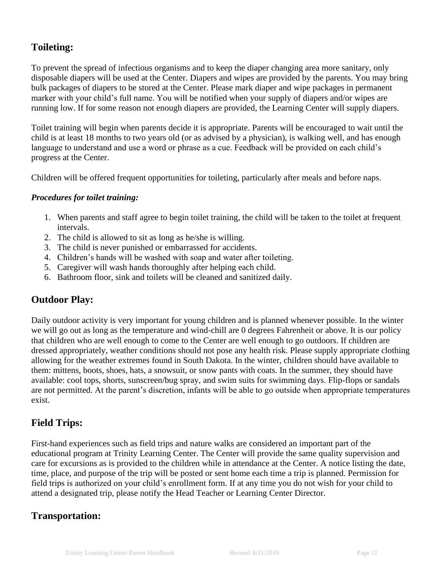# **Toileting:**

To prevent the spread of infectious organisms and to keep the diaper changing area more sanitary, only disposable diapers will be used at the Center. Diapers and wipes are provided by the parents. You may bring bulk packages of diapers to be stored at the Center. Please mark diaper and wipe packages in permanent marker with your child's full name. You will be notified when your supply of diapers and/or wipes are running low. If for some reason not enough diapers are provided, the Learning Center will supply diapers.

Toilet training will begin when parents decide it is appropriate. Parents will be encouraged to wait until the child is at least 18 months to two years old (or as advised by a physician), is walking well, and has enough language to understand and use a word or phrase as a cue. Feedback will be provided on each child's progress at the Center.

Children will be offered frequent opportunities for toileting, particularly after meals and before naps.

#### *Procedures for toilet training:*

- 1. When parents and staff agree to begin toilet training, the child will be taken to the toilet at frequent intervals.
- 2. The child is allowed to sit as long as he/she is willing.
- 3. The child is never punished or embarrassed for accidents.
- 4. Children's hands will be washed with soap and water after toileting.
- 5. Caregiver will wash hands thoroughly after helping each child.
- 6. Bathroom floor, sink and toilets will be cleaned and sanitized daily.

## **Outdoor Play:**

Daily outdoor activity is very important for young children and is planned whenever possible. In the winter we will go out as long as the temperature and wind-chill are 0 degrees Fahrenheit or above. It is our policy that children who are well enough to come to the Center are well enough to go outdoors. If children are dressed appropriately, weather conditions should not pose any health risk. Please supply appropriate clothing allowing for the weather extremes found in South Dakota. In the winter, children should have available to them: mittens, boots, shoes, hats, a snowsuit, or snow pants with coats. In the summer, they should have available: cool tops, shorts, sunscreen/bug spray, and swim suits for swimming days. Flip-flops or sandals are not permitted. At the parent's discretion, infants will be able to go outside when appropriate temperatures exist.

# **Field Trips:**

First-hand experiences such as field trips and nature walks are considered an important part of the educational program at Trinity Learning Center. The Center will provide the same quality supervision and care for excursions as is provided to the children while in attendance at the Center. A notice listing the date, time, place, and purpose of the trip will be posted or sent home each time a trip is planned. Permission for field trips is authorized on your child's enrollment form. If at any time you do not wish for your child to attend a designated trip, please notify the Head Teacher or Learning Center Director.

# **Transportation:**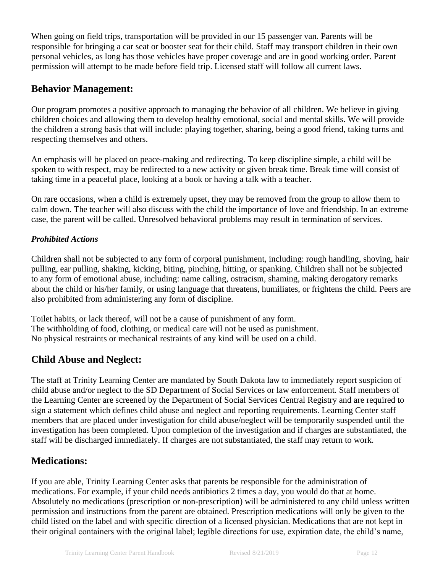When going on field trips, transportation will be provided in our 15 passenger van. Parents will be responsible for bringing a car seat or booster seat for their child. Staff may transport children in their own personal vehicles, as long has those vehicles have proper coverage and are in good working order. Parent permission will attempt to be made before field trip. Licensed staff will follow all current laws.

# **Behavior Management:**

Our program promotes a positive approach to managing the behavior of all children. We believe in giving children choices and allowing them to develop healthy emotional, social and mental skills. We will provide the children a strong basis that will include: playing together, sharing, being a good friend, taking turns and respecting themselves and others.

An emphasis will be placed on peace-making and redirecting. To keep discipline simple, a child will be spoken to with respect, may be redirected to a new activity or given break time. Break time will consist of taking time in a peaceful place, looking at a book or having a talk with a teacher.

On rare occasions, when a child is extremely upset, they may be removed from the group to allow them to calm down. The teacher will also discuss with the child the importance of love and friendship. In an extreme case, the parent will be called. Unresolved behavioral problems may result in termination of services.

## *Prohibited Actions*

Children shall not be subjected to any form of corporal punishment, including: rough handling, shoving, hair pulling, ear pulling, shaking, kicking, biting, pinching, hitting, or spanking. Children shall not be subjected to any form of emotional abuse, including: name calling, ostracism, shaming, making derogatory remarks about the child or his/her family, or using language that threatens, humiliates, or frightens the child. Peers are also prohibited from administering any form of discipline.

Toilet habits, or lack thereof, will not be a cause of punishment of any form. The withholding of food, clothing, or medical care will not be used as punishment. No physical restraints or mechanical restraints of any kind will be used on a child.

# **Child Abuse and Neglect:**

The staff at Trinity Learning Center are mandated by South Dakota law to immediately report suspicion of child abuse and/or neglect to the SD Department of Social Services or law enforcement. Staff members of the Learning Center are screened by the Department of Social Services Central Registry and are required to sign a statement which defines child abuse and neglect and reporting requirements. Learning Center staff members that are placed under investigation for child abuse/neglect will be temporarily suspended until the investigation has been completed. Upon completion of the investigation and if charges are substantiated, the staff will be discharged immediately. If charges are not substantiated, the staff may return to work.

# **Medications:**

If you are able, Trinity Learning Center asks that parents be responsible for the administration of medications. For example, if your child needs antibiotics 2 times a day, you would do that at home. Absolutely no medications (prescription or non-prescription) will be administered to any child unless written permission and instructions from the parent are obtained. Prescription medications will only be given to the child listed on the label and with specific direction of a licensed physician. Medications that are not kept in their original containers with the original label; legible directions for use, expiration date, the child's name,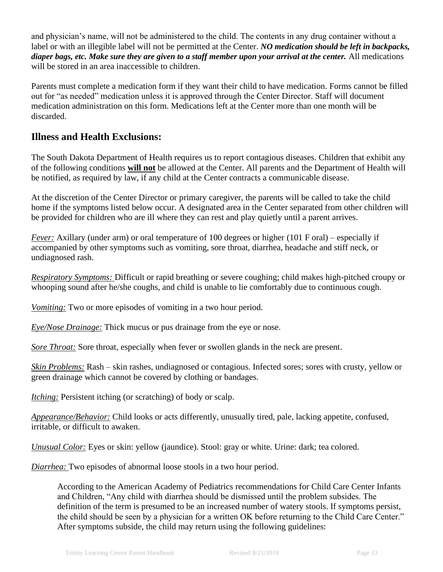and physician's name, will not be administered to the child. The contents in any drug container without a label or with an illegible label will not be permitted at the Center. *NO medication should be left in backpacks, diaper bags, etc. Make sure they are given to a staff member upon your arrival at the center.* All medications will be stored in an area inaccessible to children.

Parents must complete a medication form if they want their child to have medication. Forms cannot be filled out for "as needed" medication unless it is approved through the Center Director. Staff will document medication administration on this form. Medications left at the Center more than one month will be discarded.

# **Illness and Health Exclusions:**

The South Dakota Department of Health requires us to report contagious diseases. Children that exhibit any of the following conditions **will not** be allowed at the Center. All parents and the Department of Health will be notified, as required by law, if any child at the Center contracts a communicable disease.

At the discretion of the Center Director or primary caregiver, the parents will be called to take the child home if the symptoms listed below occur. A designated area in the Center separated from other children will be provided for children who are ill where they can rest and play quietly until a parent arrives.

*Fever:* Axillary (under arm) or oral temperature of 100 degrees or higher (101 F oral) – especially if accompanied by other symptoms such as vomiting, sore throat, diarrhea, headache and stiff neck, or undiagnosed rash.

*Respiratory Symptoms:* Difficult or rapid breathing or severe coughing; child makes high-pitched croupy or whooping sound after he/she coughs, and child is unable to lie comfortably due to continuous cough.

*Vomiting:* Two or more episodes of vomiting in a two hour period.

*Eye/Nose Drainage:* Thick mucus or pus drainage from the eye or nose.

*Sore Throat:* Sore throat, especially when fever or swollen glands in the neck are present.

*Skin Problems:* Rash – skin rashes, undiagnosed or contagious. Infected sores; sores with crusty, yellow or green drainage which cannot be covered by clothing or bandages.

*Itching:* Persistent itching (or scratching) of body or scalp.

*Appearance/Behavior:* Child looks or acts differently, unusually tired, pale, lacking appetite, confused, irritable, or difficult to awaken.

*Unusual Color:* Eyes or skin: yellow (jaundice). Stool: gray or white. Urine: dark; tea colored.

*Diarrhea:* Two episodes of abnormal loose stools in a two hour period.

According to the American Academy of Pediatrics recommendations for Child Care Center Infants and Children, "Any child with diarrhea should be dismissed until the problem subsides. The definition of the term is presumed to be an increased number of watery stools. If symptoms persist, the child should be seen by a physician for a written OK before returning to the Child Care Center." After symptoms subside, the child may return using the following guidelines: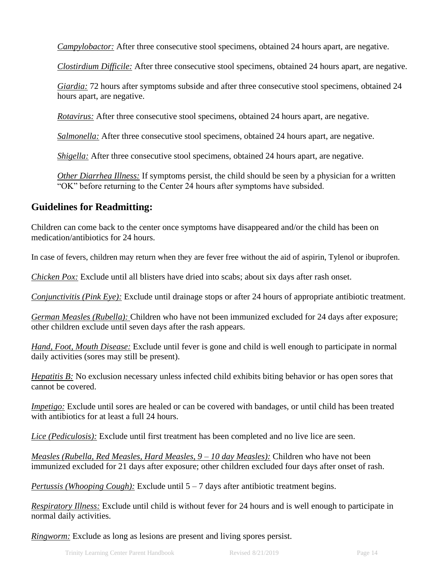*Campylobactor:* After three consecutive stool specimens, obtained 24 hours apart, are negative.

*Clostirdium Difficile:* After three consecutive stool specimens, obtained 24 hours apart, are negative.

*Giardia:* 72 hours after symptoms subside and after three consecutive stool specimens, obtained 24 hours apart, are negative.

*Rotavirus:* After three consecutive stool specimens, obtained 24 hours apart, are negative.

*Salmonella:* After three consecutive stool specimens, obtained 24 hours apart, are negative.

*Shigella:* After three consecutive stool specimens, obtained 24 hours apart, are negative.

*Other Diarrhea Illness:* If symptoms persist, the child should be seen by a physician for a written "OK" before returning to the Center 24 hours after symptoms have subsided.

#### **Guidelines for Readmitting:**

Children can come back to the center once symptoms have disappeared and/or the child has been on medication/antibiotics for 24 hours.

In case of fevers, children may return when they are fever free without the aid of aspirin, Tylenol or ibuprofen.

*Chicken Pox:* Exclude until all blisters have dried into scabs; about six days after rash onset.

*Conjunctivitis (Pink Eye):* Exclude until drainage stops or after 24 hours of appropriate antibiotic treatment.

*German Measles (Rubella):* Children who have not been immunized excluded for 24 days after exposure; other children exclude until seven days after the rash appears.

*Hand, Foot, Mouth Disease:* Exclude until fever is gone and child is well enough to participate in normal daily activities (sores may still be present).

*Hepatitis B*: No exclusion necessary unless infected child exhibits biting behavior or has open sores that cannot be covered.

*Impetigo:* Exclude until sores are healed or can be covered with bandages, or until child has been treated with antibiotics for at least a full 24 hours.

*Lice (Pediculosis):* Exclude until first treatment has been completed and no live lice are seen.

*Measles (Rubella, Red Measles, Hard Measles, 9 – 10 day Measles):* Children who have not been immunized excluded for 21 days after exposure; other children excluded four days after onset of rash.

*Pertussis (Whooping Cough):* Exclude until 5 – 7 days after antibiotic treatment begins.

*Respiratory Illness:* Exclude until child is without fever for 24 hours and is well enough to participate in normal daily activities.

*Ringworm:* Exclude as long as lesions are present and living spores persist.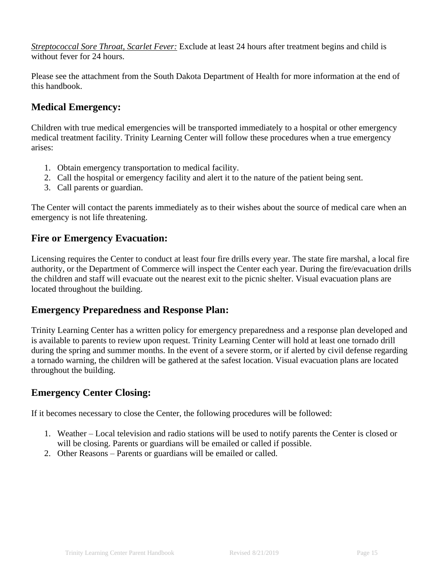*Streptococcal Sore Throat, Scarlet Fever:* Exclude at least 24 hours after treatment begins and child is without fever for 24 hours.

Please see the attachment from the South Dakota Department of Health for more information at the end of this handbook.

# **Medical Emergency:**

Children with true medical emergencies will be transported immediately to a hospital or other emergency medical treatment facility. Trinity Learning Center will follow these procedures when a true emergency arises:

- 1. Obtain emergency transportation to medical facility.
- 2. Call the hospital or emergency facility and alert it to the nature of the patient being sent.
- 3. Call parents or guardian.

The Center will contact the parents immediately as to their wishes about the source of medical care when an emergency is not life threatening.

## **Fire or Emergency Evacuation:**

Licensing requires the Center to conduct at least four fire drills every year. The state fire marshal, a local fire authority, or the Department of Commerce will inspect the Center each year. During the fire/evacuation drills the children and staff will evacuate out the nearest exit to the picnic shelter. Visual evacuation plans are located throughout the building.

## **Emergency Preparedness and Response Plan:**

Trinity Learning Center has a written policy for emergency preparedness and a response plan developed and is available to parents to review upon request. Trinity Learning Center will hold at least one tornado drill during the spring and summer months. In the event of a severe storm, or if alerted by civil defense regarding a tornado warning, the children will be gathered at the safest location. Visual evacuation plans are located throughout the building.

# **Emergency Center Closing:**

If it becomes necessary to close the Center, the following procedures will be followed:

- 1. Weather Local television and radio stations will be used to notify parents the Center is closed or will be closing. Parents or guardians will be emailed or called if possible.
- 2. Other Reasons Parents or guardians will be emailed or called.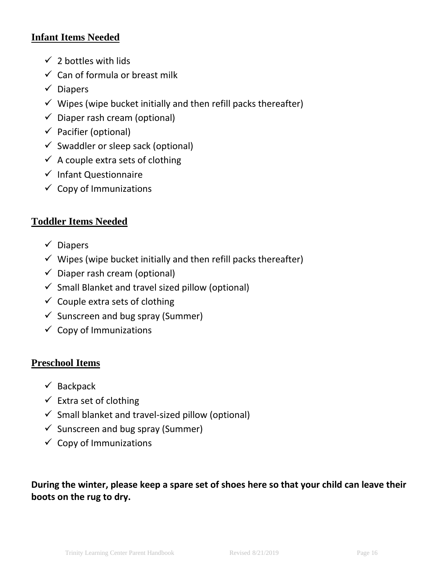# **Infant Items Needed**

- $\checkmark$  2 bottles with lids
- $\checkmark$  Can of formula or breast milk
- ✓ Diapers
- $\checkmark$  Wipes (wipe bucket initially and then refill packs thereafter)
- $\checkmark$  Diaper rash cream (optional)
- $\checkmark$  Pacifier (optional)
- $\checkmark$  Swaddler or sleep sack (optional)
- $\checkmark$  A couple extra sets of clothing
- ✓ Infant Questionnaire
- $\checkmark$  Copy of Immunizations

# **Toddler Items Needed**

- ✓ Diapers
- $\checkmark$  Wipes (wipe bucket initially and then refill packs thereafter)
- $\checkmark$  Diaper rash cream (optional)
- $\checkmark$  Small Blanket and travel sized pillow (optional)
- $\checkmark$  Couple extra sets of clothing
- $\checkmark$  Sunscreen and bug spray (Summer)
- $\checkmark$  Copy of Immunizations

# **Preschool Items**

- $\checkmark$  Backpack
- $\checkmark$  Extra set of clothing
- $\checkmark$  Small blanket and travel-sized pillow (optional)
- $\checkmark$  Sunscreen and bug spray (Summer)
- $\checkmark$  Copy of Immunizations

**During the winter, please keep a spare set of shoes here so that your child can leave their boots on the rug to dry.**